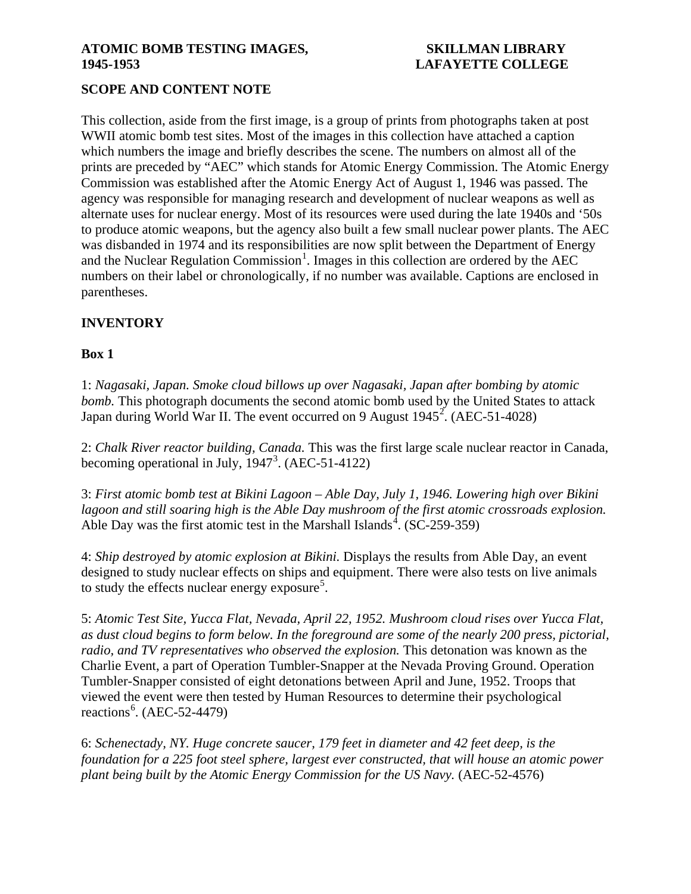### ATOMIC BOMB TESTING IMAGES, SKILLMAN LIBRARY **1945-1953 LAFAYETTE COLLEGE**

# **SCOPE AND CONTENT NOTE**

This collection, aside from the first image, is a group of prints from photographs taken at post WWII atomic bomb test sites. Most of the images in this collection have attached a caption which numbers the image and briefly describes the scene. The numbers on almost all of the prints are preceded by "AEC" which stands for Atomic Energy Commission. The Atomic Energy Commission was established after the Atomic Energy Act of August 1, 1946 was passed. The agency was responsible for managing research and development of nuclear weapons as well as alternate uses for nuclear energy. Most of its resources were used during the late 1940s and '50s to produce atomic weapons, but the agency also built a few small nuclear power plants. The AEC was disbanded in 1974 and its responsibilities are now split between the Department of Energy and the Nuclear Regulation Commission<sup>[1](#page-1-0)</sup>. Images in this collection are ordered by the AEC numbers on their label or chronologically, if no number was available. Captions are enclosed in parentheses.

# **INVENTORY**

### **Box 1**

1: *Nagasaki, Japan. Smoke cloud billows up over Nagasaki, Japan after bombing by atomic bomb.* This photograph documents the second atomic bomb used by the United States to attack Japan during World War II. The event occurred on 9 August  $1945^2$  $1945^2$ . (AEC-51-4028)

2: *Chalk River reactor building, Canada.* This was the first large scale nuclear reactor in Canada, becoming operational in July,  $1947<sup>3</sup>$  $1947<sup>3</sup>$  $1947<sup>3</sup>$ . (AEC-51-4122)

3: *First atomic bomb test at Bikini Lagoon – Able Day, July 1, 1946. Lowering high over Bikini lagoon and still soaring high is the Able Day mushroom of the first atomic crossroads explosion.* Able Day was the first atomic test in the Marshall Islands<sup>[4](#page-2-1)</sup>. (SC-259-359)

4: *Ship destroyed by atomic explosion at Bikini.* Displays the results from Able Day, an event designed to study nuclear effects on ships and equipment. There were also tests on live animals to study the effects nuclear energy exposure<sup>[5](#page-2-2)</sup>.

5: *Atomic Test Site, Yucca Flat, Nevada, April 22, 1952. Mushroom cloud rises over Yucca Flat, as dust cloud begins to form below. In the foreground are some of the nearly 200 press, pictorial, radio, and TV representatives who observed the explosion.* This detonation was known as the Charlie Event, a part of Operation Tumbler-Snapper at the Nevada Proving Ground. Operation Tumbler-Snapper consisted of eight detonations between April and June, 1952. Troops that viewed the event were then tested by Human Resources to determine their psychological reactions<sup>[6](#page-2-3)</sup>. (AEC-52-4479)

6: *Schenectady, NY. Huge concrete saucer, 179 feet in diameter and 42 feet deep, is the foundation for a 225 foot steel sphere, largest ever constructed, that will house an atomic power plant being built by the Atomic Energy Commission for the US Navy.* (AEC-52-4576)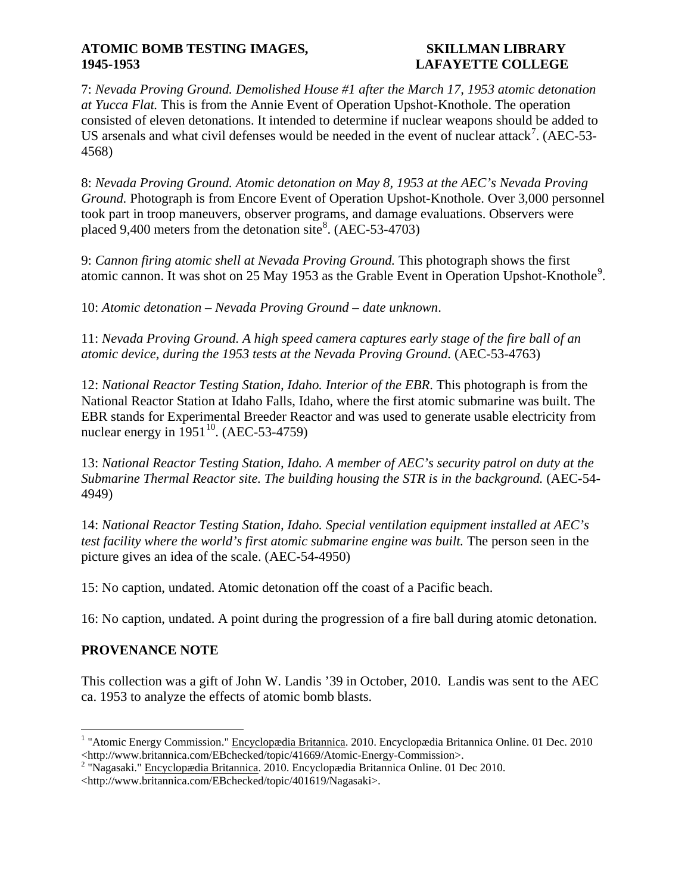### ATOMIC BOMB TESTING IMAGES, SKILLMAN LIBRARY **1945-1953 LAFAYETTE COLLEGE**

7: *Nevada Proving Ground. Demolished House #1 after the March 17, 1953 atomic detonation at Yucca Flat.* This is from the Annie Event of Operation Upshot-Knothole. The operation consisted of eleven detonations. It intended to determine if nuclear weapons should be added to US arsenals and what civil defenses would be needed in the event of nuclear attack<sup>[7](#page-2-4)</sup>. (AEC-53-4568)

8: *Nevada Proving Ground. Atomic detonation on May 8, 1953 at the AEC's Nevada Proving Ground.* Photograph is from Encore Event of Operation Upshot-Knothole. Over 3,000 personnel took part in troop maneuvers, observer programs, and damage evaluations. Observers were placed 9,400 meters from the detonation site<sup>[8](#page-2-5)</sup>. (AEC-53-4703)

9: *Cannon firing atomic shell at Nevada Proving Ground.* This photograph shows the first atomic cannon. It was shot on 25 May 1[9](#page-2-6)53 as the Grable Event in Operation Upshot-Knothole<sup>9</sup>.

10: *Atomic detonation – Nevada Proving Ground – date unknown*.

11: *Nevada Proving Ground. A high speed camera captures early stage of the fire ball of an atomic device, during the 1953 tests at the Nevada Proving Ground.* (AEC-53-4763)

12: *National Reactor Testing Station, Idaho. Interior of the EBR*. This photograph is from the National Reactor Station at Idaho Falls, Idaho, where the first atomic submarine was built. The EBR stands for Experimental Breeder Reactor and was used to generate usable electricity from nuclear energy in  $1951^{10}$ . (AEC-53-4759)

13: *National Reactor Testing Station, Idaho. A member of AEC's security patrol on duty at the Submarine Thermal Reactor site. The building housing the STR is in the background.* (AEC-54- 4949)

14: *National Reactor Testing Station, Idaho. Special ventilation equipment installed at AEC's test facility where the world's first atomic submarine engine was built.* The person seen in the picture gives an idea of the scale. (AEC-54-4950)

15: No caption, undated. Atomic detonation off the coast of a Pacific beach.

16: No caption, undated. A point during the progression of a fire ball during atomic detonation.

# **PROVENANCE NOTE**

This collection was a gift of John W. Landis '39 in October, 2010. Landis was sent to the AEC ca. 1953 to analyze the effects of atomic bomb blasts.

<span id="page-1-0"></span><sup>&</sup>lt;sup>1</sup> "Atomic Energy Commission." Encyclopædia Britannica. 2010. Encyclopædia Britannica Online. 01 Dec. 2010 <http://www.britannica.com/EBchecked/topic/41669/Atomic-Energy-Commission>.

<span id="page-1-1"></span> $2$  "Nagasaki." Encyclopædia Britannica. 2010. Encyclopædia Britannica Online. 01 Dec 2010.

<sup>&</sup>lt;http://www.britannica.com/EBchecked/topic/401619/Nagasaki>.